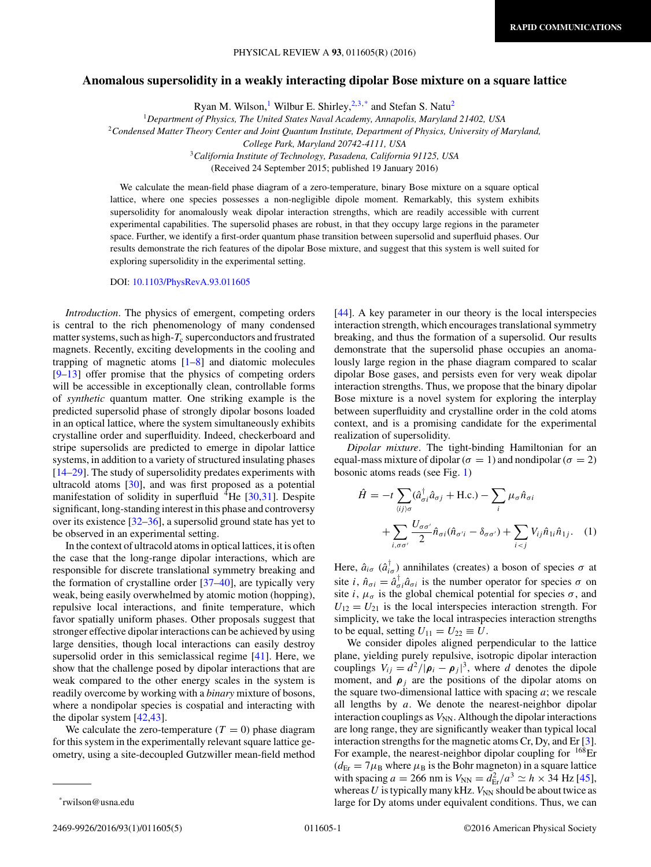## <span id="page-0-0"></span>**Anomalous supersolidity in a weakly interacting dipolar Bose mixture on a square lattice**

Ryan M. Wilson,<sup>1</sup> Wilbur E. Shirley,  $2.3$ ,\* and Stefan S. Natu<sup>2</sup>

<sup>1</sup>*Department of Physics, The United States Naval Academy, Annapolis, Maryland 21402, USA*

<sup>2</sup>*Condensed Matter Theory Center and Joint Quantum Institute, Department of Physics, University of Maryland,*

*College Park, Maryland 20742-4111, USA*

<sup>3</sup>*California Institute of Technology, Pasadena, California 91125, USA*

(Received 24 September 2015; published 19 January 2016)

We calculate the mean-field phase diagram of a zero-temperature, binary Bose mixture on a square optical lattice, where one species possesses a non-negligible dipole moment. Remarkably, this system exhibits supersolidity for anomalously weak dipolar interaction strengths, which are readily accessible with current experimental capabilities. The supersolid phases are robust, in that they occupy large regions in the parameter space. Further, we identify a first-order quantum phase transition between supersolid and superfluid phases. Our results demonstrate the rich features of the dipolar Bose mixture, and suggest that this system is well suited for exploring supersolidity in the experimental setting.

DOI: [10.1103/PhysRevA.93.011605](http://dx.doi.org/10.1103/PhysRevA.93.011605)

*Introduction*. The physics of emergent, competing orders is central to the rich phenomenology of many condensed matter systems, such as high- $T_c$  superconductors and frustrated magnets. Recently, exciting developments in the cooling and trapping of magnetic atoms  $[1-8]$  $[1-8]$  and diatomic molecules [\[9–13\]](#page-4-0) offer promise that the physics of competing orders will be accessible in exceptionally clean, controllable forms of *synthetic* quantum matter. One striking example is the predicted supersolid phase of strongly dipolar bosons loaded in an optical lattice, where the system simultaneously exhibits crystalline order and superfluidity. Indeed, checkerboard and stripe supersolids are predicted to emerge in dipolar lattice systems, in addition to a variety of structured insulating phases [\[14–29\]](#page-4-0). The study of supersolidity predates experiments with ultracold atoms [\[30\]](#page-4-0), and was first proposed as a potential manifestation of solidity in superfluid <sup>4</sup>He [\[30,31\]](#page-4-0). Despite significant, long-standing interest in this phase and controversy over its existence  $[32-36]$ , a supersolid ground state has yet to be observed in an experimental setting.

In the context of ultracold atoms in optical lattices, it is often the case that the long-range dipolar interactions, which are responsible for discrete translational symmetry breaking and the formation of crystalline order [\[37–40\]](#page-4-0), are typically very weak, being easily overwhelmed by atomic motion (hopping), repulsive local interactions, and finite temperature, which favor spatially uniform phases. Other proposals suggest that stronger effective dipolar interactions can be achieved by using large densities, though local interactions can easily destroy supersolid order in this semiclassical regime [\[41\]](#page-4-0). Here, we show that the challenge posed by dipolar interactions that are weak compared to the other energy scales in the system is readily overcome by working with a *binary* mixture of bosons, where a nondipolar species is cospatial and interacting with the dipolar system [\[42,43\]](#page-4-0).

We calculate the zero-temperature  $(T = 0)$  phase diagram for this system in the experimentally relevant square lattice geometry, using a site-decoupled Gutzwiller mean-field method [\[44\]](#page-4-0). A key parameter in our theory is the local interspecies interaction strength, which encourages translational symmetry breaking, and thus the formation of a supersolid. Our results demonstrate that the supersolid phase occupies an anomalously large region in the phase diagram compared to scalar dipolar Bose gases, and persists even for very weak dipolar interaction strengths. Thus, we propose that the binary dipolar Bose mixture is a novel system for exploring the interplay between superfluidity and crystalline order in the cold atoms context, and is a promising candidate for the experimental realization of supersolidity.

*Dipolar mixture*. The tight-binding Hamiltonian for an equal-mass mixture of dipolar ( $\sigma = 1$ ) and nondipolar ( $\sigma = 2$ ) bosonic atoms reads (see Fig. [1\)](#page-1-0)

$$
\hat{H} = -t \sum_{\langle ij \rangle \sigma} (\hat{a}_{\sigma i}^{\dagger} \hat{a}_{\sigma j} + \text{H.c.}) - \sum_{i} \mu_{\sigma} \hat{n}_{\sigma i} + \sum_{i, \sigma \sigma'} \frac{U_{\sigma \sigma'} \hat{n}_{\sigma i} (\hat{n}_{\sigma' i} - \delta_{\sigma \sigma'}) + \sum_{i < j} V_{ij} \hat{n}_{1i} \hat{n}_{1j}. \tag{1}
$$

Here,  $\hat{a}_{i\sigma}$  ( $\hat{a}_{i\sigma}^{\dagger}$ ) annihilates (creates) a boson of species  $\sigma$  at site *i*,  $\hat{n}_{\sigma i} = \hat{a}_{\sigma i}^{\dagger} \hat{a}_{\sigma i}$  is the number operator for species  $\sigma$  on site *i*,  $\mu_{\sigma}$  is the global chemical potential for species  $\sigma$ , and  $U_{12} = U_{21}$  is the local interspecies interaction strength. For simplicity, we take the local intraspecies interaction strengths to be equal, setting  $U_{11} = U_{22} \equiv U$ .

We consider dipoles aligned perpendicular to the lattice plane, yielding purely repulsive, isotropic dipolar interaction couplings  $V_{ij} = d^2/|\rho_i - \rho_j|^3$ , where *d* denotes the dipole moment, and  $\rho_j$  are the positions of the dipolar atoms on the square two-dimensional lattice with spacing *a*; we rescale all lengths by *a*. We denote the nearest-neighbor dipolar interaction couplings as  $V_{NN}$ . Although the dipolar interactions are long range, they are significantly weaker than typical local interaction strengths for the magnetic atoms Cr, Dy, and Er [\[3\]](#page-3-0). For example, the nearest-neighbor dipolar coupling for  $168$ Er  $(d_{\text{Er}} = 7 \mu_{\text{B}}$  where  $\mu_{\text{B}}$  is the Bohr magneton) in a square lattice with spacing *a* = 266 nm is  $V_{NN} = d_{Er}^2 / a^3 \simeq h \times 34$  Hz [\[45\]](#page-4-0), whereas  $U$  is typically many kHz.  $V_{NN}$  should be about twice as large for Dy atoms under equivalent conditions. Thus, we can

\*rwilson@usna.edu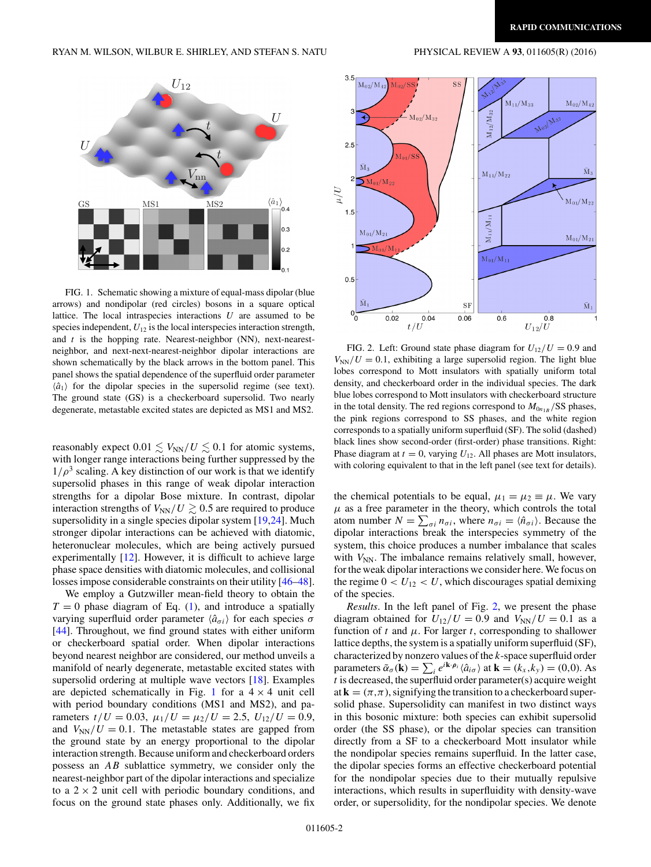<span id="page-1-0"></span>

FIG. 1. Schematic showing a mixture of equal-mass dipolar (blue arrows) and nondipolar (red circles) bosons in a square optical lattice. The local intraspecies interactions *U* are assumed to be species independent,  $U_{12}$  is the local interspecies interaction strength, and *t* is the hopping rate. Nearest-neighbor (NN), next-nearestneighbor, and next-next-nearest-neighbor dipolar interactions are shown schematically by the black arrows in the bottom panel. This panel shows the spatial dependence of the superfluid order parameter  $\langle \hat{a}_1 \rangle$  for the dipolar species in the supersolid regime (see text). The ground state (GS) is a checkerboard supersolid. Two nearly degenerate, metastable excited states are depicted as MS1 and MS2.

reasonably expect  $0.01 \lesssim V_{\rm NN}/U \lesssim 0.1$  for atomic systems, with longer range interactions being further suppressed by the  $1/\rho^3$  scaling. A key distinction of our work is that we identify supersolid phases in this range of weak dipolar interaction strengths for a dipolar Bose mixture. In contrast, dipolar interaction strengths of  $V_{NN}/U \gtrsim 0.5$  are required to produce supersolidity in a single species dipolar system [\[19,24\]](#page-4-0). Much stronger dipolar interactions can be achieved with diatomic, heteronuclear molecules, which are being actively pursued experimentally  $[12]$ . However, it is difficult to achieve large phase space densities with diatomic molecules, and collisional losses impose considerable constraints on their utility [\[46–48\]](#page-4-0).

We employ a Gutzwiller mean-field theory to obtain the  $T = 0$  phase diagram of Eq. [\(1\)](#page-0-0), and introduce a spatially varying superfluid order parameter  $\langle \hat{a}_{\sigma i} \rangle$  for each species  $\sigma$ [\[44\]](#page-4-0). Throughout, we find ground states with either uniform or checkerboard spatial order. When dipolar interactions beyond nearest neighbor are considered, our method unveils a manifold of nearly degenerate, metastable excited states with supersolid ordering at multiple wave vectors [\[18\]](#page-4-0). Examples are depicted schematically in Fig. 1 for a  $4 \times 4$  unit cell with period boundary conditions (MS1 and MS2), and parameters  $t/U = 0.03$ ,  $\mu_1/U = \mu_2/U = 2.5$ ,  $U_{12}/U = 0.9$ , and  $V_{NN}/U = 0.1$ . The metastable states are gapped from the ground state by an energy proportional to the dipolar interaction strength. Because uniform and checkerboard orders possess an *AB* sublattice symmetry, we consider only the nearest-neighbor part of the dipolar interactions and specialize to a  $2 \times 2$  unit cell with periodic boundary conditions, and focus on the ground state phases only. Additionally, we fix



FIG. 2. Left: Ground state phase diagram for  $U_{12}/U = 0.9$  and  $V_{NN}/U = 0.1$ , exhibiting a large supersolid region. The light blue lobes correspond to Mott insulators with spatially uniform total density, and checkerboard order in the individual species. The dark blue lobes correspond to Mott insulators with checkerboard structure in the total density. The red regions correspond to  $M_{0n_{1B}}$ /SS phases, the pink regions correspond to SS phases, and the white region corresponds to a spatially uniform superfluid (SF). The solid (dashed) black lines show second-order (first-order) phase transitions. Right: Phase diagram at  $t = 0$ , varying  $U_{12}$ . All phases are Mott insulators, with coloring equivalent to that in the left panel (see text for details).

the chemical potentials to be equal,  $\mu_1 = \mu_2 \equiv \mu$ . We vary  $\mu$  as a free parameter in the theory, which controls the total atom number  $N = \sum_{\sigma i} n_{\sigma i}$ , where  $n_{\sigma i} = \langle \hat{n}_{\sigma i} \rangle$ . Because the dipolar interactions break the interspecies symmetry of the system, this choice produces a number imbalance that scales with  $V_{NN}$ . The imbalance remains relatively small, however, for the weak dipolar interactions we consider here. We focus on the regime  $0 < U_{12} < U$ , which discourages spatial demixing of the species.

*Results*. In the left panel of Fig. 2, we present the phase diagram obtained for  $U_{12}/U = 0.9$  and  $V_{NN}/U = 0.1$  as a function of *t* and  $\mu$ . For larger *t*, corresponding to shallower lattice depths, the system is a spatially uniform superfluid (SF), characterized by nonzero values of the *k*-space superfluid order parameters  $\tilde{\alpha}_{\sigma}(\mathbf{k}) = \sum_{i} e^{i\mathbf{k} \cdot \boldsymbol{\rho}_i} \langle \hat{a}_{i\sigma} \rangle$  at  $\mathbf{k} = (k_x, k_y) = (0, 0)$ . As *t* is decreased, the superfluid order parameter(s) acquire weight at  $\mathbf{k} = (\pi, \pi)$ , signifying the transition to a checkerboard supersolid phase. Supersolidity can manifest in two distinct ways in this bosonic mixture: both species can exhibit supersolid order (the SS phase), or the dipolar species can transition directly from a SF to a checkerboard Mott insulator while the nondipolar species remains superfluid. In the latter case, the dipolar species forms an effective checkerboard potential for the nondipolar species due to their mutually repulsive interactions, which results in superfluidity with density-wave order, or supersolidity, for the nondipolar species. We denote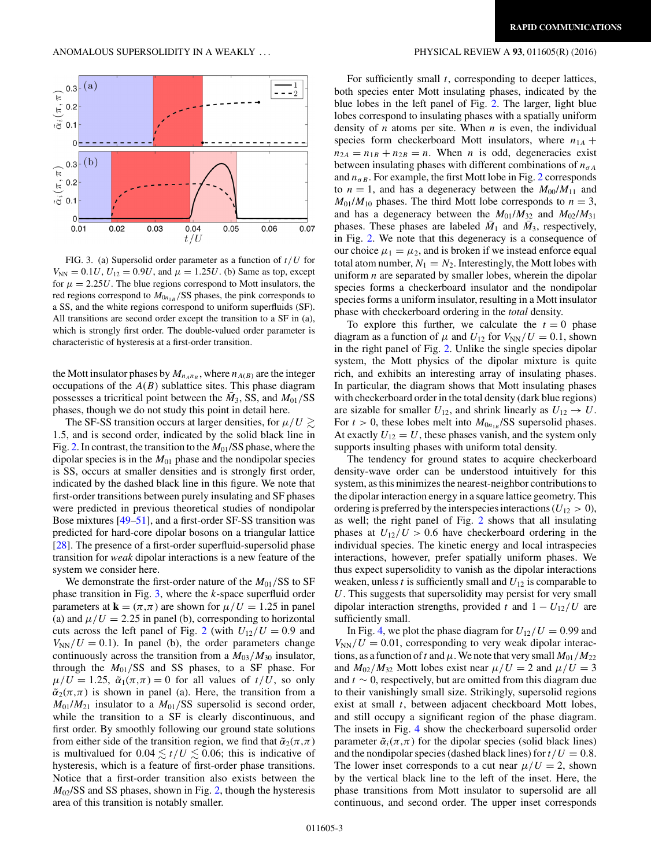

FIG. 3. (a) Supersolid order parameter as a function of *t/U* for  $V_{NN} = 0.1U$ ,  $U_{12} = 0.9U$ , and  $\mu = 1.25U$ . (b) Same as top, except for  $\mu = 2.25U$ . The blue regions correspond to Mott insulators, the red regions correspond to *M*0*n*1*<sup>B</sup> /*SS phases, the pink corresponds to a SS, and the white regions correspond to uniform superfluids (SF). All transitions are second order except the transition to a SF in (a), which is strongly first order. The double-valued order parameter is characteristic of hysteresis at a first-order transition.

the Mott insulator phases by  $M_{n_A n_B}$ , where  $n_{A(B)}$  are the integer occupations of the *A*(*B*) sublattice sites. This phase diagram possesses a tricritical point between the  $M_3$ , SS, and  $M_{01}/SS$ phases, though we do not study this point in detail here.

The SF-SS transition occurs at larger densities, for  $\mu/U \gtrsim$ 1*.*5, and is second order, indicated by the solid black line in Fig. [2.](#page-1-0) In contrast, the transition to the *M*01/SS phase, where the dipolar species is in the  $M<sub>01</sub>$  phase and the nondipolar species is SS, occurs at smaller densities and is strongly first order, indicated by the dashed black line in this figure. We note that first-order transitions between purely insulating and SF phases were predicted in previous theoretical studies of nondipolar Bose mixtures [\[49–51\]](#page-4-0), and a first-order SF-SS transition was predicted for hard-core dipolar bosons on a triangular lattice [\[28\]](#page-4-0). The presence of a first-order superfluid-supersolid phase transition for *weak* dipolar interactions is a new feature of the system we consider here.

We demonstrate the first-order nature of the  $M_{01}/SS$  to SF phase transition in Fig. 3, where the *k*-space superfluid order parameters at  $\mathbf{k} = (\pi, \pi)$  are shown for  $\mu/U = 1.25$  in panel (a) and  $\mu/U = 2.25$  in panel (b), corresponding to horizontal cuts across the left panel of Fig. [2](#page-1-0) (with  $U_{12}/U = 0.9$  and  $V_{NN}/U = 0.1$ ). In panel (b), the order parameters change continuously across the transition from a  $M_{03}/M_{30}$  insulator, through the  $M_{01}/SS$  and SS phases, to a SF phase. For  $\mu/U = 1.25$ ,  $\tilde{\alpha}_1(\pi,\pi) = 0$  for all values of  $t/U$ , so only  $\tilde{\alpha}_2(\pi,\pi)$  is shown in panel (a). Here, the transition from a  $M_{01}/M_{21}$  insulator to a  $M_{01}/SS$  supersolid is second order, while the transition to a SF is clearly discontinuous, and first order. By smoothly following our ground state solutions from either side of the transition region, we find that  $\tilde{\alpha}_2(\pi,\pi)$ is multivalued for  $0.04 \lesssim t/U \lesssim 0.06$ ; this is indicative of hysteresis, which is a feature of first-order phase transitions. Notice that a first-order transition also exists between the  $M_{02}/SS$  and SS phases, shown in Fig. [2,](#page-1-0) though the hysteresis area of this transition is notably smaller.

For sufficiently small *t*, corresponding to deeper lattices, both species enter Mott insulating phases, indicated by the blue lobes in the left panel of Fig. [2.](#page-1-0) The larger, light blue lobes correspond to insulating phases with a spatially uniform density of *n* atoms per site. When *n* is even, the individual species form checkerboard Mott insulators, where  $n_{1A}$  +  $n_{2A} = n_{1B} + n_{2B} = n$ . When *n* is odd, degeneracies exist between insulating phases with different combinations of  $n_{\sigma A}$ and  $n_{\sigma B}$ . For example, the first Mott lobe in Fig. [2](#page-1-0) corresponds to  $n = 1$ , and has a degeneracy between the  $M_{00}/M_{11}$  and  $M_{01}/M_{10}$  phases. The third Mott lobe corresponds to  $n = 3$ , and has a degeneracy between the  $M_{01}/M_{32}$  and  $M_{02}/M_{31}$ phases. These phases are labeled  $\bar{M}_1$  and  $\bar{M}_3$ , respectively, in Fig. [2.](#page-1-0) We note that this degeneracy is a consequence of our choice  $\mu_1 = \mu_2$ , and is broken if we instead enforce equal total atom number,  $N_1 = N_2$ . Interestingly, the Mott lobes with uniform *n* are separated by smaller lobes, wherein the dipolar species forms a checkerboard insulator and the nondipolar species forms a uniform insulator, resulting in a Mott insulator phase with checkerboard ordering in the *total* density.

To explore this further, we calculate the  $t = 0$  phase diagram as a function of  $\mu$  and  $U_{12}$  for  $V_{NN}/U = 0.1$ , shown in the right panel of Fig. [2.](#page-1-0) Unlike the single species dipolar system, the Mott physics of the dipolar mixture is quite rich, and exhibits an interesting array of insulating phases. In particular, the diagram shows that Mott insulating phases with checkerboard order in the total density (dark blue regions) are sizable for smaller  $U_{12}$ , and shrink linearly as  $U_{12} \rightarrow U$ . For  $t > 0$ , these lobes melt into  $M_{0n_{1B}}$ /SS supersolid phases. At exactly  $U_{12} = U$ , these phases vanish, and the system only supports insulting phases with uniform total density.

The tendency for ground states to acquire checkerboard density-wave order can be understood intuitively for this system, as this minimizes the nearest-neighbor contributions to the dipolar interaction energy in a square lattice geometry. This ordering is preferred by the interspecies interactions ( $U_{12} > 0$ ), as well; the right panel of Fig. [2](#page-1-0) shows that all insulating phases at  $U_{12}/U > 0.6$  have checkerboard ordering in the individual species. The kinetic energy and local intraspecies interactions, however, prefer spatially uniform phases. We thus expect supersolidity to vanish as the dipolar interactions weaken, unless  $t$  is sufficiently small and  $U_{12}$  is comparable to *U*. This suggests that supersolidity may persist for very small dipolar interaction strengths, provided *t* and  $1 - U_{12}/U$  are sufficiently small.

In Fig. [4,](#page-3-0) we plot the phase diagram for  $U_{12}/U = 0.99$  and  $V_{NN}/U = 0.01$ , corresponding to very weak dipolar interactions, as a function of t and  $\mu$ . We note that very small  $M_{01}/M_{22}$ and  $M_{02}/M_{32}$  Mott lobes exist near  $\mu/U = 2$  and  $\mu/U = 3$ and *t* ∼ 0, respectively, but are omitted from this diagram due to their vanishingly small size. Strikingly, supersolid regions exist at small *t*, between adjacent checkboard Mott lobes, and still occupy a significant region of the phase diagram. The insets in Fig. [4](#page-3-0) show the checkerboard supersolid order parameter  $\tilde{\alpha}_i(\pi,\pi)$  for the dipolar species (solid black lines) and the nondipolar species (dashed black lines) for  $t/U = 0.8$ . The lower inset corresponds to a cut near  $\mu/U = 2$ , shown by the vertical black line to the left of the inset. Here, the phase transitions from Mott insulator to supersolid are all continuous, and second order. The upper inset corresponds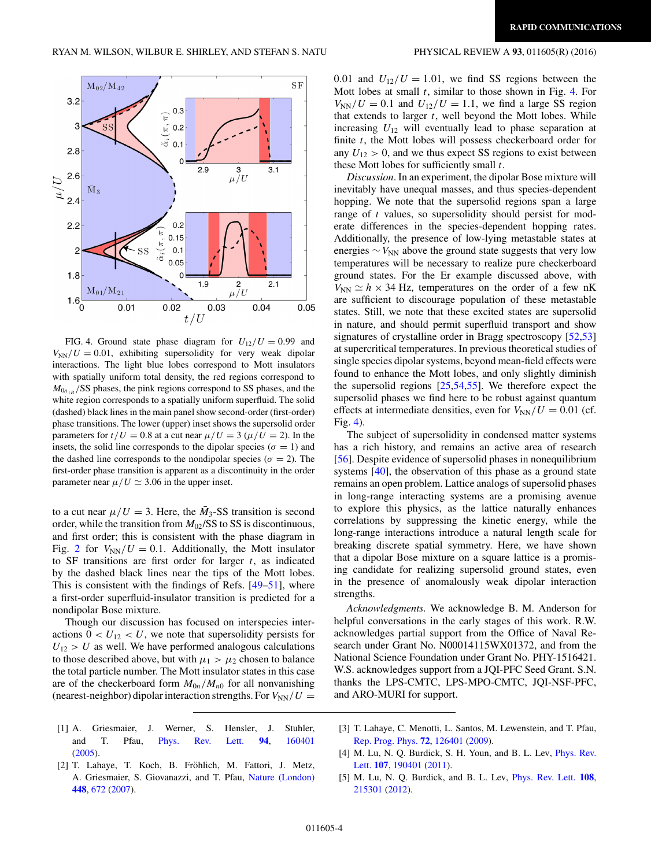<span id="page-3-0"></span>

FIG. 4. Ground state phase diagram for  $U_{12}/U = 0.99$  and  $V_{NN}/U = 0.01$ , exhibiting supersolidity for very weak dipolar interactions. The light blue lobes correspond to Mott insulators with spatially uniform total density, the red regions correspond to  $M_{0n_{1B}}$ /SS phases, the pink regions correspond to SS phases, and the white region corresponds to a spatially uniform superfluid. The solid (dashed) black lines in the main panel show second-order (first-order) phase transitions. The lower (upper) inset shows the supersolid order parameters for  $t/U = 0.8$  at a cut near  $\mu/U = 3$  ( $\mu/U = 2$ ). In the insets, the solid line corresponds to the dipolar species ( $\sigma = 1$ ) and the dashed line corresponds to the nondipolar species ( $\sigma = 2$ ). The first-order phase transition is apparent as a discontinuity in the order parameter near  $\mu/U \simeq 3.06$  in the upper inset.

to a cut near  $\mu/U = 3$ . Here, the  $\bar{M}_3$ -SS transition is second order, while the transition from *M*02/SS to SS is discontinuous, and first order; this is consistent with the phase diagram in Fig. [2](#page-1-0) for  $V_{NN}/U = 0.1$ . Additionally, the Mott insulator to SF transitions are first order for larger *t*, as indicated by the dashed black lines near the tips of the Mott lobes. This is consistent with the findings of Refs. [\[49–51\]](#page-4-0), where a first-order superfluid-insulator transition is predicted for a nondipolar Bose mixture.

Though our discussion has focused on interspecies interactions  $0 < U_{12} < U$ , we note that supersolidity persists for  $U_{12} > U$  as well. We have performed analogous calculations to those described above, but with  $\mu_1 > \mu_2$  chosen to balance the total particle number. The Mott insulator states in this case are of the checkerboard form  $M_{0n}/M_{n0}$  for all nonvanishing (nearest-neighbor) dipolar interaction strengths. For  $V_{NN}/U =$ 

- [1] A. Griesmaier, J. Werner, S. Hensler, J. Stuhler, and T. Pfau, [Phys. Rev. Lett.](http://dx.doi.org/10.1103/PhysRevLett.94.160401) **[94](http://dx.doi.org/10.1103/PhysRevLett.94.160401)**, [160401](http://dx.doi.org/10.1103/PhysRevLett.94.160401) [\(2005\)](http://dx.doi.org/10.1103/PhysRevLett.94.160401).
- [2] T. Lahaye, T. Koch, B. Fröhlich, M. Fattori, J. Metz, A. Griesmaier, S. Giovanazzi, and T. Pfau, [Nature \(London\)](http://dx.doi.org/10.1038/nature06036) **[448](http://dx.doi.org/10.1038/nature06036)**, [672](http://dx.doi.org/10.1038/nature06036) [\(2007\)](http://dx.doi.org/10.1038/nature06036).

0.01 and  $U_{12}/U = 1.01$ , we find SS regions between the Mott lobes at small *t*, similar to those shown in Fig. 4. For  $V_{NN}/U = 0.1$  and  $U_{12}/U = 1.1$ , we find a large SS region that extends to larger *t*, well beyond the Mott lobes. While increasing  $U_{12}$  will eventually lead to phase separation at finite *t*, the Mott lobes will possess checkerboard order for any  $U_{12} > 0$ , and we thus expect SS regions to exist between these Mott lobes for sufficiently small *t*.

*Discussion*. In an experiment, the dipolar Bose mixture will inevitably have unequal masses, and thus species-dependent hopping. We note that the supersolid regions span a large range of *t* values, so supersolidity should persist for moderate differences in the species-dependent hopping rates. Additionally, the presence of low-lying metastable states at energies  $\sim$  *V*<sub>NN</sub> above the ground state suggests that very low temperatures will be necessary to realize pure checkerboard ground states. For the Er example discussed above, with  $V_{NN} \simeq h \times 34$  Hz, temperatures on the order of a few nK are sufficient to discourage population of these metastable states. Still, we note that these excited states are supersolid in nature, and should permit superfluid transport and show signatures of crystalline order in Bragg spectroscopy [\[52,53\]](#page-4-0) at supercritical temperatures. In previous theoretical studies of single species dipolar systems, beyond mean-field effects were found to enhance the Mott lobes, and only slightly diminish the supersolid regions [\[25,54,55\]](#page-4-0). We therefore expect the supersolid phases we find here to be robust against quantum effects at intermediate densities, even for  $V_{NN}/U = 0.01$  (cf. Fig. 4).

The subject of supersolidity in condensed matter systems has a rich history, and remains an active area of research [\[56\]](#page-4-0). Despite evidence of supersolid phases in nonequilibrium systems [\[40\]](#page-4-0), the observation of this phase as a ground state remains an open problem. Lattice analogs of supersolid phases in long-range interacting systems are a promising avenue to explore this physics, as the lattice naturally enhances correlations by suppressing the kinetic energy, while the long-range interactions introduce a natural length scale for breaking discrete spatial symmetry. Here, we have shown that a dipolar Bose mixture on a square lattice is a promising candidate for realizing supersolid ground states, even in the presence of anomalously weak dipolar interaction strengths.

*Acknowledgments.* We acknowledge B. M. Anderson for helpful conversations in the early stages of this work. R.W. acknowledges partial support from the Office of Naval Research under Grant No. N00014115WX01372, and from the National Science Foundation under Grant No. PHY-1516421. W.S. acknowledges support from a JQI-PFC Seed Grant. S.N. thanks the LPS-CMTC, LPS-MPO-CMTC, JQI-NSF-PFC, and ARO-MURI for support.

- [3] T. Lahaye, C. Menotti, L. Santos, M. Lewenstein, and T. Pfau, [Rep. Prog. Phys.](http://dx.doi.org/10.1088/0034-4885/72/12/126401) **[72](http://dx.doi.org/10.1088/0034-4885/72/12/126401)**, [126401](http://dx.doi.org/10.1088/0034-4885/72/12/126401) [\(2009\)](http://dx.doi.org/10.1088/0034-4885/72/12/126401).
- [4] [M. Lu, N. Q. Burdick, S. H. Youn, and B. L. Lev,](http://dx.doi.org/10.1103/PhysRevLett.107.190401) Phys. Rev. Lett. **[107](http://dx.doi.org/10.1103/PhysRevLett.107.190401)**, [190401](http://dx.doi.org/10.1103/PhysRevLett.107.190401) [\(2011\)](http://dx.doi.org/10.1103/PhysRevLett.107.190401).
- [5] M. Lu, N. Q. Burdick, and B. L. Lev, [Phys. Rev. Lett.](http://dx.doi.org/10.1103/PhysRevLett.108.215301) **[108](http://dx.doi.org/10.1103/PhysRevLett.108.215301)**, [215301](http://dx.doi.org/10.1103/PhysRevLett.108.215301) [\(2012\)](http://dx.doi.org/10.1103/PhysRevLett.108.215301).